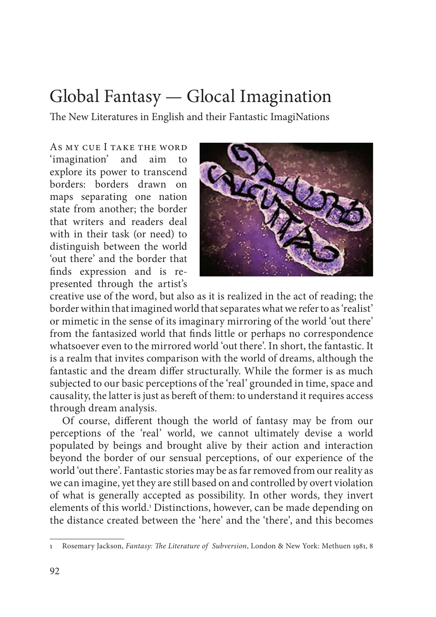## Global Fantasy — Glocal Imagination

The New Literatures in English and their Fantastic ImagiNations

As my cue I take the word 'imagination' and aim to explore its power to transcend borders: borders drawn on maps separating one nation state from another; the border that writers and readers deal with in their task (or need) to distinguish between the world 'out there' and the border that finds expression and is represented through the artist's



creative use of the word, but also as it is realized in the act of reading; the border within that imagined world that separates what we refer to as 'realist' or mimetic in the sense of its imaginary mirroring of the world 'out there' from the fantasized world that finds little or perhaps no correspondence whatsoever even to the mirrored world 'out there'. In short, the fantastic. It is a realm that invites comparison with the world of dreams, although the fantastic and the dream differ structurally. While the former is as much subjected to our basic perceptions of the 'real' grounded in time, space and causality, the latter is just as bereft of them: to understand it requires access through dream analysis.

Of course, different though the world of fantasy may be from our perceptions of the 'real' world, we cannot ultimately devise a world populated by beings and brought alive by their action and interaction beyond the border of our sensual perceptions, of our experience of the world 'out there'. Fantastic stories may be as far removed from our reality as we can imagine, yet they are still based on and controlled by overt violation of what is generally accepted as possibility. In other words, they invert elements of this world.<sup>1</sup> Distinctions, however, can be made depending on the distance created between the 'here' and the 'there', and this becomes

<sup>1</sup> Rosemary Jackson, *Fantasy: The Literature of Subversion*, London & New York: Methuen 1981, 8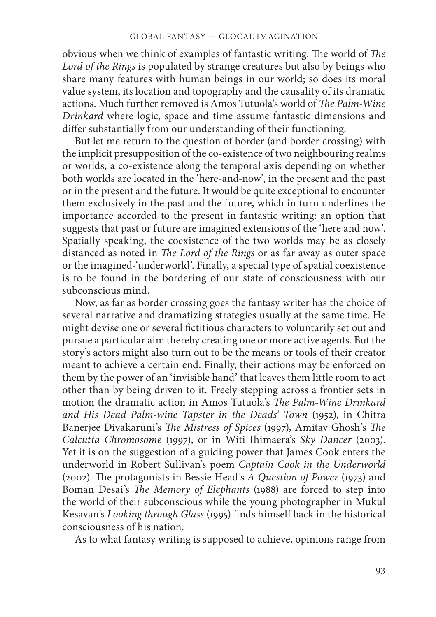obvious when we think of examples of fantastic writing. The world of *The Lord of the Rings* is populated by strange creatures but also by beings who share many features with human beings in our world; so does its moral value system, its location and topography and the causality of its dramatic actions. Much further removed is Amos Tutuola's world of *The Palm-Wine Drinkard* where logic, space and time assume fantastic dimensions and differ substantially from our understanding of their functioning.

But let me return to the question of border (and border crossing) with the implicit presupposition of the co-existence of two neighbouring realms or worlds, a co-existence along the temporal axis depending on whether both worlds are located in the 'here-and-now', in the present and the past or in the present and the future. It would be quite exceptional to encounter them exclusively in the past and the future, which in turn underlines the importance accorded to the present in fantastic writing: an option that suggests that past or future are imagined extensions of the 'here and now'. Spatially speaking, the coexistence of the two worlds may be as closely distanced as noted in *The Lord of the Rings* or as far away as outer space or the imagined-'underworld'. Finally, a special type of spatial coexistence is to be found in the bordering of our state of consciousness with our subconscious mind.

Now, as far as border crossing goes the fantasy writer has the choice of several narrative and dramatizing strategies usually at the same time. He might devise one or several fictitious characters to voluntarily set out and pursue a particular aim thereby creating one or more active agents. But the story's actors might also turn out to be the means or tools of their creator meant to achieve a certain end. Finally, their actions may be enforced on them by the power of an 'invisible hand' that leaves them little room to act other than by being driven to it. Freely stepping across a frontier sets in motion the dramatic action in Amos Tutuola's *The Palm-Wine Drinkard and His Dead Palm-wine Tapster in the Deads' Town* (1952), in Chitra Banerjee Divakaruni's *The Mistress of Spices* (1997), Amitav Ghosh's *The Calcutta Chromosome* (1997), or in Witi Ihimaera's *Sky Dancer* (2003). Yet it is on the suggestion of a guiding power that James Cook enters the underworld in Robert Sullivan's poem *Captain Cook in the Underworld* (2002). The protagonists in Bessie Head's *A Question of Power* (1973) and Boman Desai's *The Memory of Elephants* (1988) are forced to step into the world of their subconscious while the young photographer in Mukul Kesavan's *Looking through Glass* (1995) finds himself back in the historical consciousness of his nation.

As to what fantasy writing is supposed to achieve, opinions range from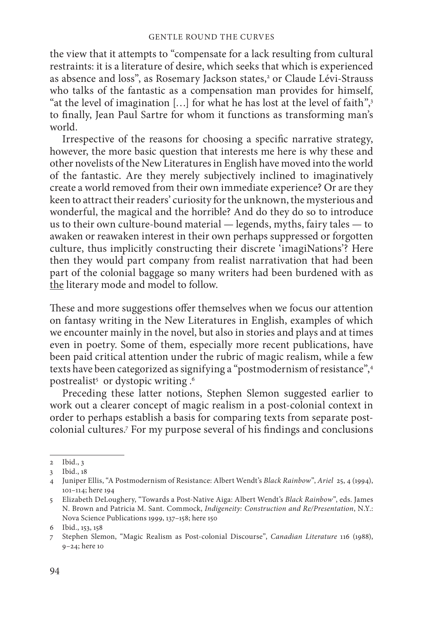the view that it attempts to "compensate for a lack resulting from cultural restraints: it is a literature of desire, which seeks that which is experienced as absence and loss", as Rosemary Jackson states,<sup>2</sup> or Claude Lévi-Strauss who talks of the fantastic as a compensation man provides for himself, "at the level of imagination [...] for what he has lost at the level of faith", $3$ to finally, Jean Paul Sartre for whom it functions as transforming man's world.

Irrespective of the reasons for choosing a specific narrative strategy, however, the more basic question that interests me here is why these and other novelists of the New Literatures in English have moved into the world of the fantastic. Are they merely subjectively inclined to imaginatively create a world removed from their own immediate experience? Or are they keen to attract their readers' curiosity for the unknown, the mysterious and wonderful, the magical and the horrible? And do they do so to introduce us to their own culture-bound material — legends, myths, fairy tales — to awaken or reawaken interest in their own perhaps suppressed or forgotten culture, thus implicitly constructing their discrete 'imagiNations'? Here then they would part company from realist narrativation that had been part of the colonial baggage so many writers had been burdened with as the literary mode and model to follow.

These and more suggestions offer themselves when we focus our attention on fantasy writing in the New Literatures in English, examples of which we encounter mainly in the novel, but also in stories and plays and at times even in poetry. Some of them, especially more recent publications, have been paid critical attention under the rubric of magic realism, while a few texts have been categorized as signifying a "postmodernism of resistance",4 postrealist<sup>5</sup> or dystopic writing .<sup>6</sup>

Preceding these latter notions, Stephen Slemon suggested earlier to work out a clearer concept of magic realism in a post-colonial context in order to perhaps establish a basis for comparing texts from separate postcolonial cultures.<sup>7</sup> For my purpose several of his findings and conclusions

<sup>2</sup> Ibid., 3

<sup>3</sup> Ibid., 18

<sup>4</sup> Juniper Ellis, "A Postmodernism of Resistance: Albert Wendt's *Black Rainbow*", *Ariel* 25, 4 (1994), 101–114; here 194

<sup>5</sup> Elizabeth DeLoughery, "Towards a Post-Native Aiga: Albert Wendt's *Black Rainbow*", eds. James N. Brown and Patricia M. Sant. Commock, *Indigeneity: Construction and Re/Presentation*, N.Y.: Nova Science Publications 1999, 137–158; here 150

<sup>6</sup> Ibid., 153, 158

<sup>7</sup> Stephen Slemon, "Magic Realism as Post-colonial Discourse", *Canadian Literature* 116 (1988), 9–24; here 10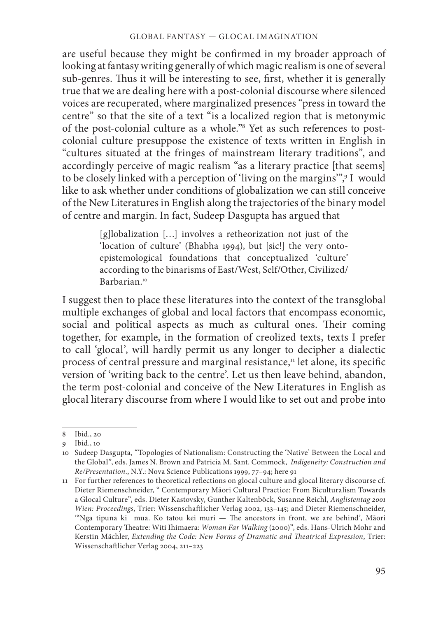are useful because they might be confirmed in my broader approach of looking at fantasy writing generally of which magic realism is one of several sub-genres. Thus it will be interesting to see, first, whether it is generally true that we are dealing here with a post-colonial discourse where silenced voices are recuperated, where marginalized presences "press in toward the centre" so that the site of a text "is a localized region that is metonymic of the post-colonial culture as a whole."8 Yet as such references to postcolonial culture presuppose the existence of texts written in English in "cultures situated at the fringes of mainstream literary traditions", and accordingly perceive of magic realism "as a literary practice [that seems] to be closely linked with a perception of 'living on the margins'",<sup>9</sup> I would like to ask whether under conditions of globalization we can still conceive of the New Literatures in English along the trajectories of the binary model of centre and margin. In fact, Sudeep Dasgupta has argued that

> [g]lobalization [...] involves a retheorization not just of the 'location of culture' (Bhabha 1994), but [sic!] the very ontoepistemological foundations that conceptualized 'culture' according to the binarisms of East/West, Self/Other, Civilized/ Barbarian<sup>10</sup>

I suggest then to place these literatures into the context of the transglobal multiple exchanges of global and local factors that encompass economic, social and political aspects as much as cultural ones. Their coming together, for example, in the formation of creolized texts, texts I prefer to call 'glocal', will hardly permit us any longer to decipher a dialectic process of central pressure and marginal resistance,<sup>11</sup> let alone, its specific version of 'writing back to the centre'. Let us then leave behind, abandon, the term post-colonial and conceive of the New Literatures in English as glocal literary discourse from where I would like to set out and probe into

<sup>8</sup> Ibid., 20

<sup>9</sup> Ibid., 10

<sup>10</sup> Sudeep Dasgupta, "Topologies of Nationalism: Constructing the 'Native' Between the Local and the Global", eds. James N. Brown and Patricia M. Sant. Commock, *Indigeneity: Construction and Re/Presentation*., N.Y.: Nova Science Publications 1999, 77–94; here 91

<sup>11</sup> For further references to theoretical reflections on glocal culture and glocal literary discourse cf. Dieter Riemenschneider, " Contemporary Māori Cultural Practice: From Biculturalism Towards a Glocal Culture", eds. Dieter Kastovsky, Gunther Kaltenböck, Susanne Reichl, *Anglistentag 2001 Wien: Proceedings*, Trier: Wissenschaftlicher Verlag 2002, 133-145; and Dieter Riemenschneider, "Nga tipuna ki mua. Ko tatou kei muri - The ancestors in front, we are behind', Māori Contemporary Theatre: Witi Ihimaera: *Woman Far Walking* (2000)", eds. Hans-Ulrich Mohr and Kerstin Mächler, *Extending the Code: New Forms of Dramatic and Theatrical Expression*, Trier: Wissenschaftlicher Verlag 2004, 211-223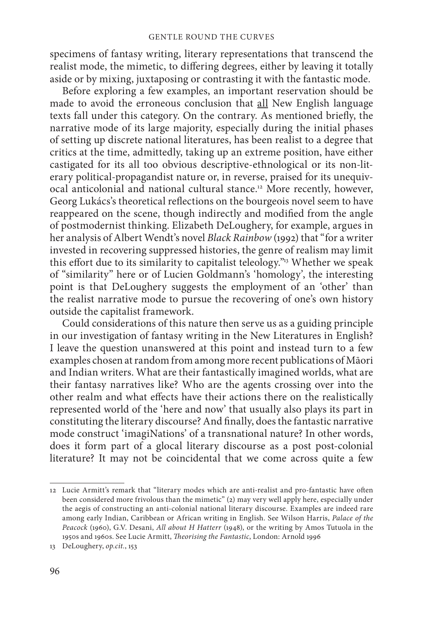specimens of fantasy writing, literary representations that transcend the realist mode, the mimetic, to differing degrees, either by leaving it totally aside or by mixing, juxtaposing or contrasting it with the fantastic mode.

Before exploring a few examples, an important reservation should be made to avoid the erroneous conclusion that all New English language texts fall under this category. On the contrary. As mentioned briefly, the narrative mode of its large majority, especially during the initial phases of setting up discrete national literatures, has been realist to a degree that critics at the time, admittedly, taking up an extreme position, have either castigated for its all too obvious descriptive-ethnological or its non-literary political-propagandist nature or, in reverse, praised for its unequivocal anticolonial and national cultural stance.12 More recently, however, Georg Lukács's theoretical reflections on the bourgeois novel seem to have reappeared on the scene, though indirectly and modified from the angle of postmodernist thinking. Elizabeth DeLoughery, for example, argues in her analysis of Albert Wendt's novel *Black Rainbow* (1992) that "for a writer invested in recovering suppressed histories, the genre of realism may limit this effort due to its similarity to capitalist teleology."<sup>13</sup> Whether we speak of "similarity" here or of Lucien Goldmann's 'homology', the interesting point is that DeLoughery suggests the employment of an 'other' than the realist narrative mode to pursue the recovering of one's own history outside the capitalist framework.

Could considerations of this nature then serve us as a guiding principle in our investigation of fantasy writing in the New Literatures in English? I leave the question unanswered at this point and instead turn to a few examples chosen at random from among more recent publications of Māori and Indian writers. What are their fantastically imagined worlds, what are their fantasy narratives like? Who are the agents crossing over into the other realm and what effects have their actions there on the realistically represented world of the 'here and now' that usually also plays its part in constituting the literary discourse? And finally, does the fantastic narrative mode construct 'imagiNations' of a transnational nature? In other words, does it form part of a glocal literary discourse as a post post-colonial literature? It may not be coincidental that we come across quite a few

<sup>12</sup> Lucie Armitt's remark that "literary modes which are anti-realist and pro-fantastic have often been considered more frivolous than the mimetic" (2) may very well apply here, especially under the aegis of constructing an anti-colonial national literary discourse. Examples are indeed rare among early Indian, Caribbean or African writing in English. See Wilson Harris, *Palace of the Peacock* (1960), G.V. Desani, *All about H Hatterr* (1948), or the writing by Amos Tutuola in the 1950s and 1960s. See Lucie Armitt, *Th eorising the Fantastic*, London: Arnold 1996

<sup>13</sup> DeLoughery, *op.cit.*, 153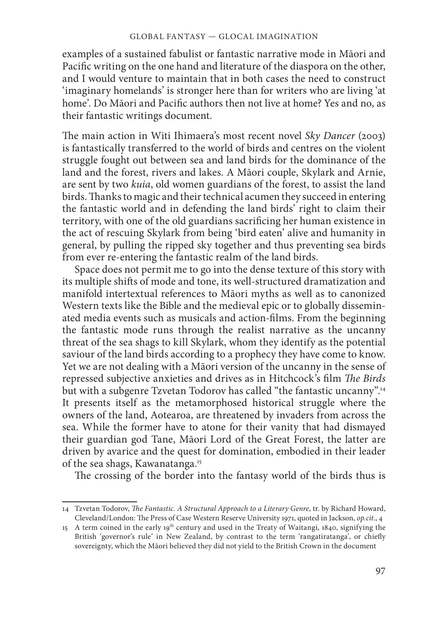examples of a sustained fabulist or fantastic narrative mode in Māori and Pacific writing on the one hand and literature of the diaspora on the other, and I would venture to maintain that in both cases the need to construct 'imaginary homelands' is stronger here than for writers who are living 'at home'. Do Māori and Pacific authors then not live at home? Yes and no, as their fantastic writings document.

The main action in Witi Ihimaera's most recent novel *Sky Dancer* (2003) is fantastically transferred to the world of birds and centres on the violent struggle fought out between sea and land birds for the dominance of the land and the forest, rivers and lakes. A Māori couple, Skylark and Arnie, are sent by two *kuia*, old women guardians of the forest, to assist the land birds. Thanks to magic and their technical acumen they succeed in entering the fantastic world and in defending the land birds' right to claim their territory, with one of the old guardians sacrificing her human existence in the act of rescuing Skylark from being 'bird eaten' alive and humanity in general, by pulling the ripped sky together and thus preventing sea birds from ever re-entering the fantastic realm of the land birds.

Space does not permit me to go into the dense texture of this story with its multiple shifts of mode and tone, its well-structured dramatization and manifold intertextual references to Māori myths as well as to canonized Western texts like the Bible and the medieval epic or to globally disseminated media events such as musicals and action-films. From the beginning the fantastic mode runs through the realist narrative as the uncanny threat of the sea shags to kill Skylark, whom they identify as the potential saviour of the land birds according to a prophecy they have come to know. Yet we are not dealing with a Māori version of the uncanny in the sense of repressed subjective anxieties and drives as in Hitchcock's film *The Birds* but with a subgenre Tzvetan Todorov has called "the fantastic uncanny".14 It presents itself as the metamorphosed historical struggle where the owners of the land, Aotearoa, are threatened by invaders from across the sea. While the former have to atone for their vanity that had dismayed their guardian god Tane, Māori Lord of the Great Forest, the latter are driven by avarice and the quest for domination, embodied in their leader of the sea shags, Kawanatanga.15

The crossing of the border into the fantasy world of the birds thus is

<sup>14</sup> Tzvetan Todorov, *The Fantastic. A Structural Approach to a Literary Genre*, tr. by Richard Howard, Cleveland/London: The Press of Case Western Reserve University 1971, quoted in Jackson, op.cit., 4

<sup>15</sup> A term coined in the early 19<sup>th</sup> century and used in the Treaty of Waitangi, 1840, signifying the British 'governor's rule' in New Zealand, by contrast to the term 'rangatiratanga', or chiefly sovereignty, which the Māori believed they did not yield to the British Crown in the document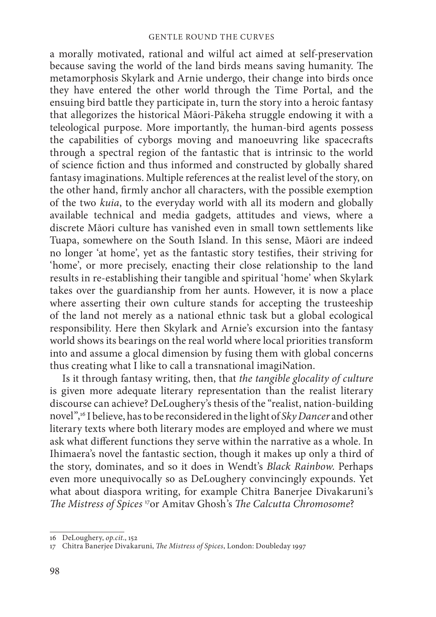a morally motivated, rational and wilful act aimed at self-preservation because saving the world of the land birds means saving humanity. The metamorphosis Skylark and Arnie undergo, their change into birds once they have entered the other world through the Time Portal, and the ensuing bird battle they participate in, turn the story into a heroic fantasy that allegorizes the historical Māori-Pākeha struggle endowing it with a teleological purpose. More importantly, the human-bird agents possess the capabilities of cyborgs moving and manoeuvring like spacecrafts through a spectral region of the fantastic that is intrinsic to the world of science fiction and thus informed and constructed by globally shared fantasy imaginations. Multiple references at the realist level of the story, on the other hand, firmly anchor all characters, with the possible exemption of the two *kuia*, to the everyday world with all its modern and globally available technical and media gadgets, attitudes and views, where a discrete Māori culture has vanished even in small town settlements like Tuapa, somewhere on the South Island. In this sense, Māori are indeed no longer 'at home', yet as the fantastic story testifies, their striving for 'home', or more precisely, enacting their close relationship to the land results in re-establishing their tangible and spiritual 'home' when Skylark takes over the guardianship from her aunts. However, it is now a place where asserting their own culture stands for accepting the trusteeship of the land not merely as a national ethnic task but a global ecological responsibility. Here then Skylark and Arnie's excursion into the fantasy world shows its bearings on the real world where local priorities transform into and assume a glocal dimension by fusing them with global concerns thus creating what I like to call a transnational imagiNation.

Is it through fantasy writing, then, that *the tangible glocality of culture* is given more adequate literary representation than the realist literary discourse can achieve? DeLoughery's thesis of the "realist, nation-building novel",16 I believe, has to be reconsidered in the light of *Sky Dancer* and other literary texts where both literary modes are employed and where we must ask what different functions they serve within the narrative as a whole. In Ihimaera's novel the fantastic section, though it makes up only a third of the story, dominates, and so it does in Wendt's *Black Rainbow*. Perhaps even more unequivocally so as DeLoughery convincingly expounds. Yet what about diaspora writing, for example Chitra Banerjee Divakaruni's *The Mistress of Spices*<sup>17</sup>or Amitav Ghosh's *The Calcutta Chromosome*?

<sup>16</sup> DeLoughery, *op.cit*., 152

<sup>17</sup> Chitra Banerjee Divakaruni, *The Mistress of Spices*, London: Doubleday 1997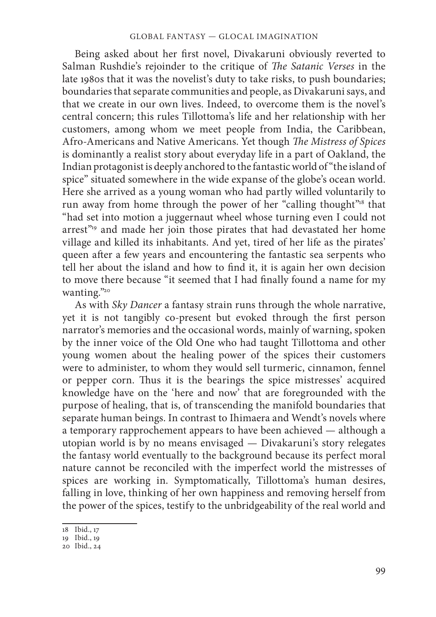Being asked about her first novel, Divakaruni obviously reverted to Salman Rushdie's rejoinder to the critique of *The Satanic Verses* in the late 1980s that it was the novelist's duty to take risks, to push boundaries; boundaries that separate communities and people, as Divakaruni says, and that we create in our own lives. Indeed, to overcome them is the novel's central concern; this rules Tillottoma's life and her relationship with her customers, among whom we meet people from India, the Caribbean, Afro-Americans and Native Americans. Yet though *The Mistress of Spices* is dominantly a realist story about everyday life in a part of Oakland, the Indian protagonist is deeply anchored to the fantastic world of "the island of spice" situated somewhere in the wide expanse of the globe's ocean world. Here she arrived as a young woman who had partly willed voluntarily to run away from home through the power of her "calling thought"18 that "had set into motion a juggernaut wheel whose turning even I could not arrest"<sup>19</sup> and made her join those pirates that had devastated her home village and killed its inhabitants. And yet, tired of her life as the pirates' queen after a few years and encountering the fantastic sea serpents who tell her about the island and how to find it, it is again her own decision to move there because "it seemed that I had finally found a name for my wanting."20

As with *Sky Dancer* a fantasy strain runs through the whole narrative, yet it is not tangibly co-present but evoked through the first person narrator's memories and the occasional words, mainly of warning, spoken by the inner voice of the Old One who had taught Tillottoma and other young women about the healing power of the spices their customers were to administer, to whom they would sell turmeric, cinnamon, fennel or pepper corn. Thus it is the bearings the spice mistresses' acquired knowledge have on the 'here and now' that are foregrounded with the purpose of healing, that is, of transcending the manifold boundaries that separate human beings. In contrast to Ihimaera and Wendt's novels where a temporary rapprochement appears to have been achieved — although a utopian world is by no means envisaged — Divakaruni's story relegates the fantasy world eventually to the background because its perfect moral nature cannot be reconciled with the imperfect world the mistresses of spices are working in. Symptomatically, Tillottoma's human desires, falling in love, thinking of her own happiness and removing herself from the power of the spices, testify to the unbridgeability of the real world and

<sup>18</sup> Ibid., 17

<sup>19</sup> Ibid., 19

<sup>20</sup> Ibid., 24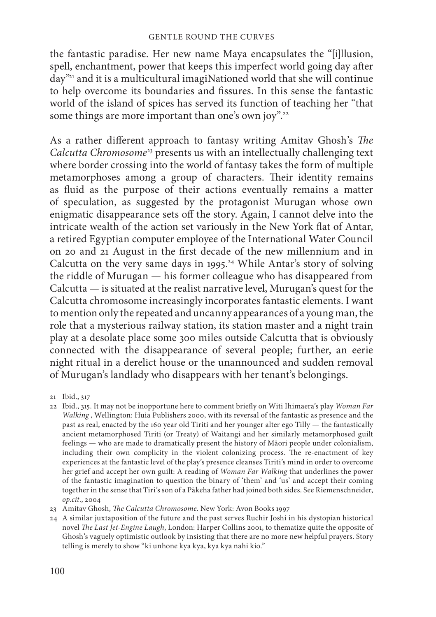the fantastic paradise. Her new name Maya encapsulates the "[i]llusion, spell, enchantment, power that keeps this imperfect world going day after day"21 and it is a multicultural imagiNationed world that she will continue to help overcome its boundaries and fissures. In this sense the fantastic world of the island of spices has served its function of teaching her "that some things are more important than one's own joy".<sup>22</sup>

As a rather different approach to fantasy writing Amitav Ghosh's The *Calcutta Chromosome*<sup>23</sup> presents us with an intellectually challenging text where border crossing into the world of fantasy takes the form of multiple metamorphoses among a group of characters. Their identity remains as fluid as the purpose of their actions eventually remains a matter of speculation, as suggested by the protagonist Murugan whose own enigmatic disappearance sets off the story. Again, I cannot delve into the intricate wealth of the action set variously in the New York flat of Antar, a retired Egyptian computer employee of the International Water Council on 20 and 21 August in the first decade of the new millennium and in Calcutta on the very same days in 1995.<sup>24</sup> While Antar's story of solving the riddle of Murugan — his former colleague who has disappeared from Calcutta — is situated at the realist narrative level, Murugan's quest for the Calcutta chromosome increasingly incorporates fantastic elements. I want to mention only the repeated and uncanny appearances of a young man, the role that a mysterious railway station, its station master and a night train play at a desolate place some 300 miles outside Calcutta that is obviously connected with the disappearance of several people; further, an eerie night ritual in a derelict house or the unannounced and sudden removal of Murugan's landlady who disappears with her tenant's belongings.

<sup>21</sup> Ibid., 317

<sup>22</sup> Ibid., 315. It may not be inopportune here to comment briefly on Witi Ihimaera's play *Woman Far Walking* , Wellington: Huia Publishers 2000, with its reversal of the fantastic as presence and the past as real, enacted by the 160 year old Tiriti and her younger alter ego Tilly — the fantastically ancient metamorphosed Tiriti (or Treaty) of Waitangi and her similarly metamorphosed guilt feelings — who are made to dramatically present the history of Māori people under colonialism, including their own complicity in the violent colonizing process. The re-enactment of key experiences at the fantastic level of the play's presence cleanses Tiriti's mind in order to overcome her grief and accept her own guilt: A reading of *Woman Far Walking* that underlines the power of the fantastic imagination to question the binary of 'them' and 'us' and accept their coming together in the sense that Tiri's son of a Pākeha father had joined both sides. See Riemenschneider, *op.cit*., 2004

<sup>23</sup> Amitav Ghosh, *The Calcutta Chromosome*. New York: Avon Books 1997

<sup>24</sup> A similar juxtaposition of the future and the past serves Ruchir Joshi in his dystopian historical novel *The Last Jet-Engine Laugh*, London: Harper Collins 2001, to thematize quite the opposite of Ghosh's vaguely optimistic outlook by insisting that there are no more new helpful prayers. Story telling is merely to show "ki unhone kya kya, kya kya nahi kio."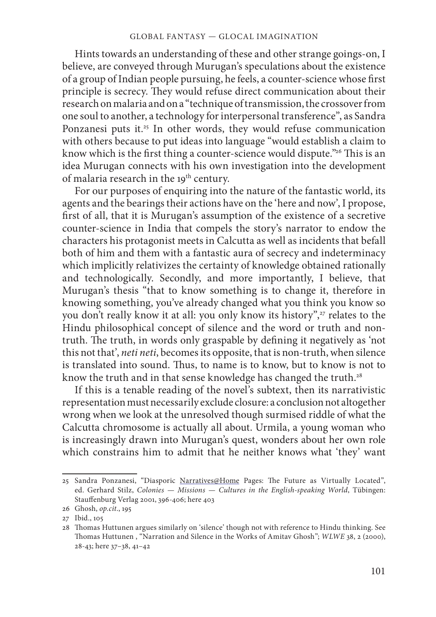Hints towards an understanding of these and other strange goings-on, I believe, are conveyed through Murugan's speculations about the existence of a group of Indian people pursuing, he feels, a counter-science whose first principle is secrecy. They would refuse direct communication about their research on malaria and on a "technique of transmission, the crossover from one soul to another, a technology for interpersonal transference", as Sandra Ponzanesi puts it.<sup>25</sup> In other words, they would refuse communication with others because to put ideas into language "would establish a claim to know which is the first thing a counter-science would dispute."26 This is an idea Murugan connects with his own investigation into the development of malaria research in the 19<sup>th</sup> century.

For our purposes of enquiring into the nature of the fantastic world, its agents and the bearings their actions have on the 'here and now', I propose, first of all, that it is Murugan's assumption of the existence of a secretive counter-science in India that compels the story's narrator to endow the characters his protagonist meets in Calcutta as well as incidents that befall both of him and them with a fantastic aura of secrecy and indeterminacy which implicitly relativizes the certainty of knowledge obtained rationally and technologically. Secondly, and more importantly, I believe, that Murugan's thesis "that to know something is to change it, therefore in knowing something, you've already changed what you think you know so you don't really know it at all: you only know its history",<sup>27</sup> relates to the Hindu philosophical concept of silence and the word or truth and nontruth. The truth, in words only graspable by defining it negatively as 'not this not that', *neti neti*, becomes its opposite, that is non-truth, when silence is translated into sound. Thus, to name is to know, but to know is not to know the truth and in that sense knowledge has changed the truth.<sup>28</sup>

If this is a tenable reading of the novel's subtext, then its narrativistic representation must necessarily exclude closure: a conclusion not altogether wrong when we look at the unresolved though surmised riddle of what the Calcutta chromosome is actually all about. Urmila, a young woman who is increasingly drawn into Murugan's quest, wonders about her own role which constrains him to admit that he neither knows what 'they' want

<sup>25</sup> Sandra Ponzanesi, "Diasporic Narratives@Home Pages: The Future as Virtually Located", ed. Gerhard Stilz, *Colonies — Missions — Cultures in the English-speaking World*, Tübingen: Stauffenburg Verlag 2001, 396-406; here 403

<sup>26</sup> Ghosh, *op.cit*., 195

<sup>27</sup> Ibid., 105

<sup>28</sup> Thomas Huttunen argues similarly on 'silence' though not with reference to Hindu thinking. See Thomas Huttunen, "Narration and Silence in the Works of Amitav Ghosh"; *WLWE* 38, 2 (2000), 28-43; here 37–38, 41–42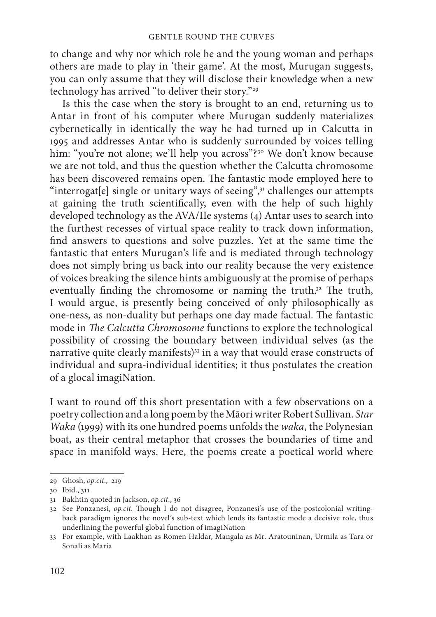to change and why nor which role he and the young woman and perhaps others are made to play in 'their game'. At the most, Murugan suggests, you can only assume that they will disclose their knowledge when a new technology has arrived "to deliver their story."29

Is this the case when the story is brought to an end, returning us to Antar in front of his computer where Murugan suddenly materializes cybernetically in identically the way he had turned up in Calcutta in 1995 and addresses Antar who is suddenly surrounded by voices telling him: "you're not alone; we'll help you across"?<sup>30</sup> We don't know because we are not told, and thus the question whether the Calcutta chromosome has been discovered remains open. The fantastic mode employed here to "interrogat[e] single or unitary ways of seeing", $3<sup>31</sup>$  challenges our attempts at gaining the truth scientifically, even with the help of such highly developed technology as the AVA/IIe systems (4) Antar uses to search into the furthest recesses of virtual space reality to track down information, find answers to questions and solve puzzles. Yet at the same time the fantastic that enters Murugan's life and is mediated through technology does not simply bring us back into our reality because the very existence of voices breaking the silence hints ambiguously at the promise of perhaps eventually finding the chromosome or naming the truth.<sup>32</sup> The truth, I would argue, is presently being conceived of only philosophically as one-ness, as non-duality but perhaps one day made factual. The fantastic mode in *The Calcutta Chromosome* functions to explore the technological possibility of crossing the boundary between individual selves (as the narrative quite clearly manifests)<sup>33</sup> in a way that would erase constructs of individual and supra-individual identities; it thus postulates the creation of a glocal imagiNation.

I want to round off this short presentation with a few observations on a poetry collection and a long poem by the Māori writer Robert Sullivan. *Star Waka* (1999) with its one hundred poems unfolds the *waka*, the Polynesian boat, as their central metaphor that crosses the boundaries of time and space in manifold ways. Here, the poems create a poetical world where

<sup>29</sup> Ghosh, *op.cit*., 219

<sup>30</sup> Ibid., 311

<sup>31</sup> Bakhtin quoted in Jackson, *op.cit*., 36

<sup>32</sup> See Ponzanesi, *op.cit*. Though I do not disagree, Ponzanesi's use of the postcolonial writingback paradigm ignores the novel's sub-text which lends its fantastic mode a decisive role, thus underlining the powerful global function of imagiNation

<sup>33</sup> For example, with Laakhan as Romen Haldar, Mangala as Mr. Aratouninan, Urmila as Tara or Sonali as Maria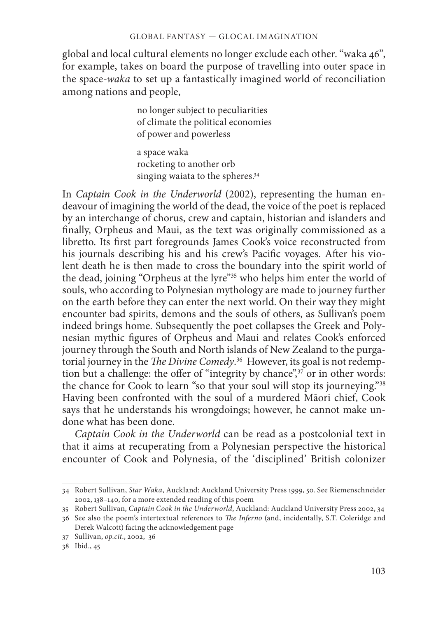global and local cultural elements no longer exclude each other. "waka 46", for example, takes on board the purpose of travelling into outer space in the space-*waka* to set up a fantastically imagined world of reconciliation among nations and people,

> no longer subject to peculiarities of climate the political economies of power and powerless

a space waka rocketing to another orb singing waiata to the spheres.<sup>34</sup>

In *Captain Cook in the Underworld* (2002), representing the human endeavour of imagining the world of the dead, the voice of the poet is replaced by an interchange of chorus, crew and captain, historian and islanders and finally, Orpheus and Maui, as the text was originally commissioned as a libretto. Its first part foregrounds James Cook's voice reconstructed from his journals describing his and his crew's Pacific voyages. After his violent death he is then made to cross the boundary into the spirit world of the dead, joining "Orpheus at the lyre"35 who helps him enter the world of souls, who according to Polynesian mythology are made to journey further on the earth before they can enter the next world. On their way they might encounter bad spirits, demons and the souls of others, as Sullivan's poem indeed brings home. Subsequently the poet collapses the Greek and Polynesian mythic figures of Orpheus and Maui and relates Cook's enforced journey through the South and North islands of New Zealand to the purgatorial journey in the *The Divine Comedy*.<sup>36</sup> However, its goal is not redemption but a challenge: the offer of "integrity by chance", $37$  or in other words: the chance for Cook to learn "so that your soul will stop its journeying."38 Having been confronted with the soul of a murdered Māori chief, Cook says that he understands his wrongdoings; however, he cannot make undone what has been done.

*Captain Cook in the Underworld* can be read as a postcolonial text in that it aims at recuperating from a Polynesian perspective the historical encounter of Cook and Polynesia, of the 'disciplined' British colonizer

<sup>34</sup> Robert Sullivan, *Star Waka*, Auckland: Auckland University Press 1999, 50. See Riemenschneider 2002, 138–140, for a more extended reading of this poem

<sup>35</sup> Robert Sullivan, *Captain Cook in the Underworld*, Auckland: Auckland University Press 2002, 34

<sup>36</sup> See also the poem's intertextual references to *The Inferno* (and, incidentally, S.T. Coleridge and Derek Walcott) facing the acknowledgement page

<sup>37</sup> Sullivan, *op.cit*., 2002, 36

<sup>38</sup> Ibid., 45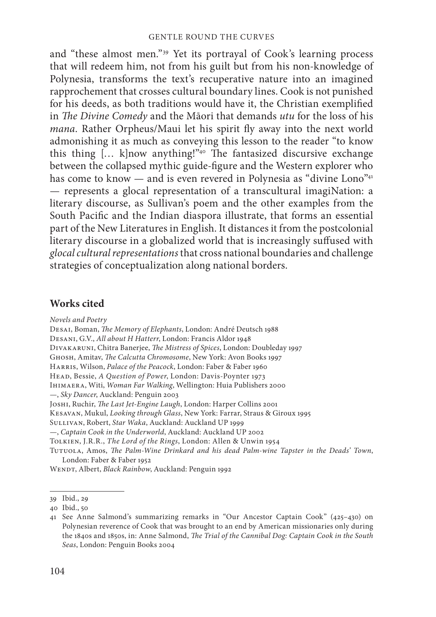and "these almost men."39 Yet its portrayal of Cook's learning process that will redeem him, not from his guilt but from his non-knowledge of Polynesia, transforms the text's recuperative nature into an imagined rapprochement that crosses cultural boundary lines. Cook is not punished for his deeds, as both traditions would have it, the Christian exemplified in *The Divine Comedy* and the Māori that demands *utu* for the loss of his *mana*. Rather Orpheus/Maui let his spirit fly away into the next world admonishing it as much as conveying this lesson to the reader "to know this thing  $\left[\dots\right]$  k|now anything!"<sup>40</sup> The fantasized discursive exchange between the collapsed mythic guide-figure and the Western explorer who has come to know — and is even revered in Polynesia as "divine Lono"<sup>41</sup> — represents a glocal representation of a transcultural imagiNation: a literary discourse, as Sullivan's poem and the other examples from the South Pacific and the Indian diaspora illustrate, that forms an essential part of the New Literatures in English. It distances it from the postcolonial literary discourse in a globalized world that is increasingly suffused with *glocal cultural representations* that cross national boundaries and challenge strategies of conceptualization along national borders.

## **Works cited**

*Novels and Poetry* 

DESAI, Boman, *The Memory of Elephants*, London: André Deutsch 1988 Desani, G.V., *All about H Hatterr*, London: Francis Aldor 1948 DIVAKARUNI, Chitra Banerjee, *The Mistress of Spices*, London: Doubleday 1997 GHOSH, Amitav, *The Calcutta Chromosome*, New York: Avon Books 1997 Harris, Wilson, *Palace of the Peacock*, London: Faber & Faber 1960 Head, Bessie, *A Question of Power*, London: Davis-Poynter 1973 Ihimaera, Witi, *Woman Far Walking*, Wellington: Huia Publishers 2000 —, *Sky Dancer*, Auckland: Penguin 2003 JOSHI, Ruchir, *The Last Jet-Engine Laugh*, London: Harper Collins 2001 Kesavan, Mukul, *Looking through Glass*, New York: Farrar, Straus & Giroux 1995 Sullivan, Robert, *Star Waka*, Auckland: Auckland UP 1999 —, *Captain Cook in the Underworld*, Auckland: Auckland UP 2002 Tolkien, J.R.R., *The Lord of the Rings*, London: Allen & Unwin 1954 Tutuola, Amos, *The Palm-Wine Drinkard and his dead Palm-wine Tapster in the Deads' Town*, London: Faber & Faber 1952

Wendt, Albert, *Black Rainbow*, Auckland: Penguin 1992

<sup>39</sup> Ibid., 29

<sup>40</sup> Ibid., 50

<sup>41</sup> See Anne Salmond's summarizing remarks in "Our Ancestor Captain Cook" (425–430) on Polynesian reverence of Cook that was brought to an end by American missionaries only during the 1840s and 1850s, in: Anne Salmond, *The Trial of the Cannibal Dog: Captain Cook in the South Seas*, London: Penguin Books 2004